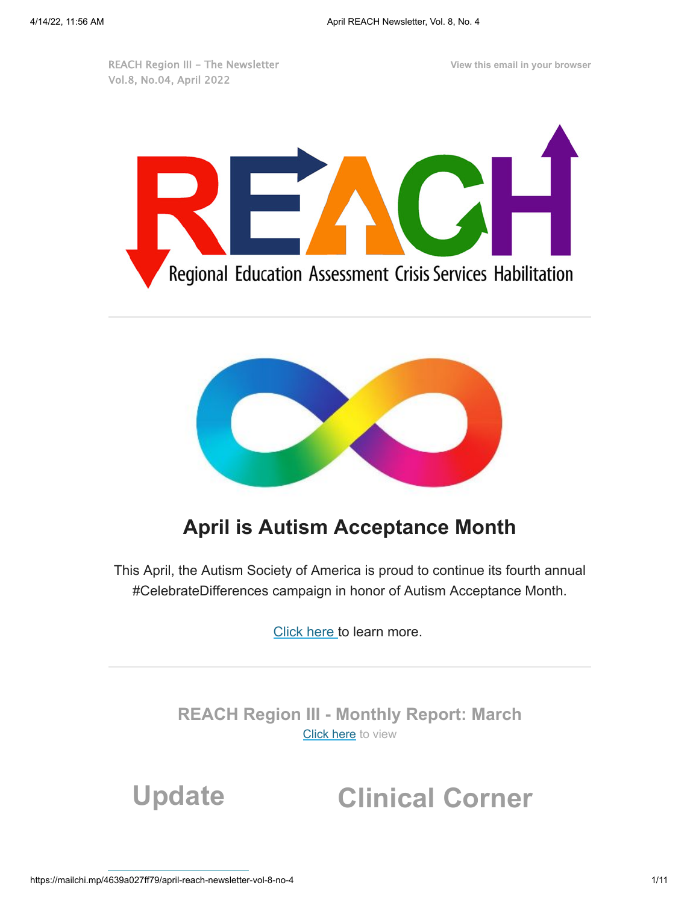REACH Region III - The Newsletter Vol.8, No.04, April 2022

**View this email in your browser**





## **April is Autism Acceptance Month**

This April, the Autism Society of America is proud to continue its fourth annual #CelebrateDifferences campaign in honor of Autism Acceptance Month.

[Click here](https://autismsociety.org/autism-acceptance-month/) to learn more.

**REACH Region III - Monthly Report: March** [Click here](https://mcusercontent.com/898af1729382f137e646c6110/files/64fcb188-0660-dd0c-d262-7f71fe3fb1c8/REACH_ED_Report_March_2022.pdf) to view

**Update Clinical Corner**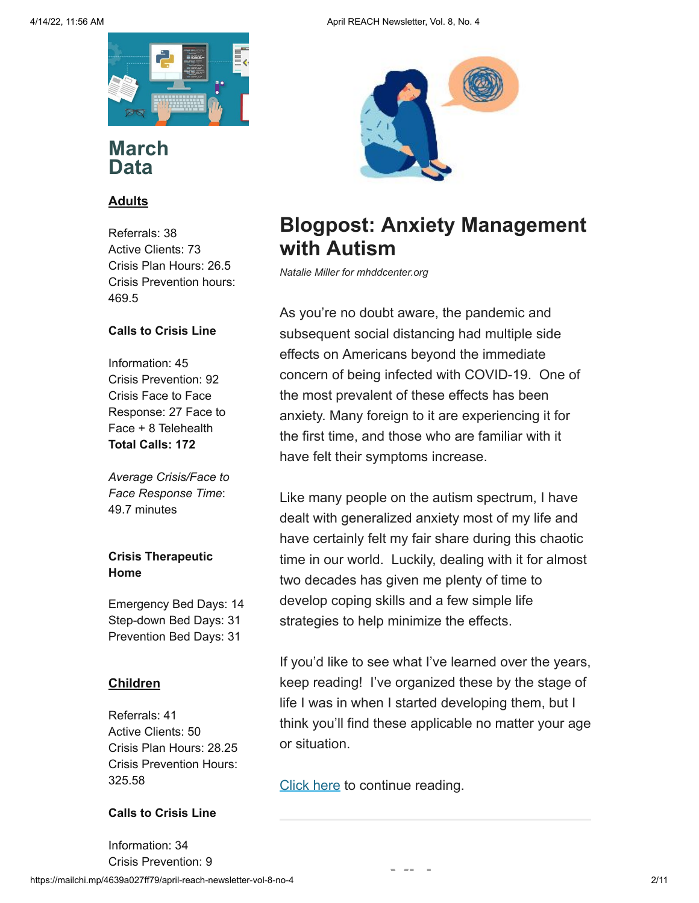

### **March Data**

### **Adults**

Referrals: 38 Active Clients: 73 Crisis Plan Hours: 26.5 Crisis Prevention hours: 469.5

#### **Calls to Crisis Line**

Information: 45 Crisis Prevention: 92 Crisis Face to Face Response: 27 Face to Face + 8 Telehealth **Total Calls: 172**

*Average Crisis/Face to Face Response Time*: 49.7 minutes

### **Crisis Therapeutic Home**

Emergency Bed Days: 14 Step-down Bed Days: 31 Prevention Bed Days: 31

#### **Children**

Referrals: 41 Active Clients: 50 Crisis Plan Hours: 28.25 Crisis Prevention Hours: 325.58

#### **Calls to Crisis Line**

https://mailchi.mp/4639a027ff79/april-reach-newsletter-vol-8-no-4 2/11 Information: 34 Crisis Prevention: 9



## **Blogpost: Anxiety Management with Autism**

*Natalie Miller for mhddcenter.org*

As you're no doubt aware, the pandemic and subsequent social distancing had multiple side effects on Americans beyond the immediate concern of being infected with COVID-19. One of the most prevalent of these effects has been anxiety. Many foreign to it are experiencing it for the first time, and those who are familiar with it have felt their symptoms increase.

Like many people on the autism spectrum, I have dealt with generalized anxiety most of my life and have certainly felt my fair share during this chaotic time in our world. Luckily, dealing with it for almost two decades has given me plenty of time to develop coping skills and a few simple life strategies to help minimize the effects.

If you'd like to see what I've learned over the years, keep reading! I've organized these by the stage of life I was in when I started developing them, but I think you'll find these applicable no matter your age or situation.

**v**<sub>d</sub> =

[Click here](https://www.mhddcenter.org/anxiety-management-with-autism/) to continue reading.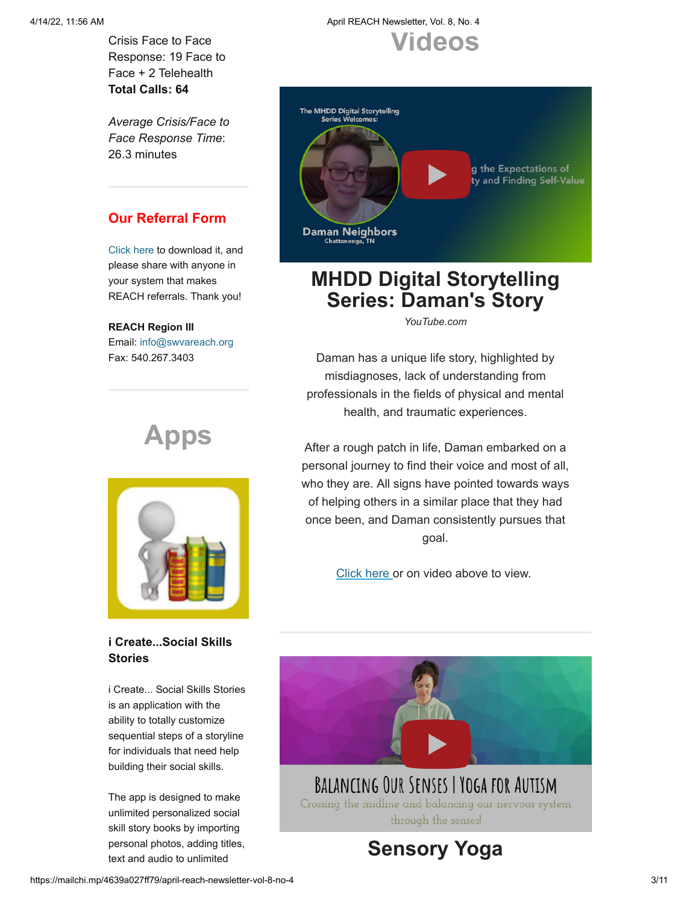Crisis Face to Face Response: 19 Face to Face + 2 Telehealth **Total Calls: 64**

*Average Crisis/Face to Face Response Time*: 26.3 minutes

### **Our Referral Form**

[Click here t](https://mcusercontent.com/898af1729382f137e646c6110/files/5c4f234d-9c35-4f2d-8e52-a43c620c0453/REACH_ReferralForm_updated_5.21.2020.docx)o download it, and please share with anyone in your system that makes REACH referrals. Thank you!

#### **REACH Region III**

Email: [info@swvareach.org](mailto:info@swvareach.org) Fax: 540.267.3403

# **Apps**



### **i Create...Social Skills Stories**

i Create... Social Skills Stories is an application with the ability to totally customize sequential steps of a storyline for individuals that need help building their social skills.

The app is designed to make unlimited personalized social skill story books by importing personal photos, adding titles, text and audio to unlimited

### 4/14/22, 11:56 AM April REACH Newsletter, Vol. 8, No. 4 **Videos**



## **MHDD Digital Storytelling Series: Daman's Story**

*YouTube.com*

Daman has a unique life story, highlighted by misdiagnoses, lack of understanding from professionals in the fields of physical and mental health, and traumatic experiences.

After a rough patch in life, Daman embarked on a personal journey to find their voice and most of all, who they are. All signs have pointed towards ways of helping others in a similar place that they had once been, and Daman consistently pursues that goal.

[Click here](https://youtu.be/_LjVV9atOio) or on video above to view.

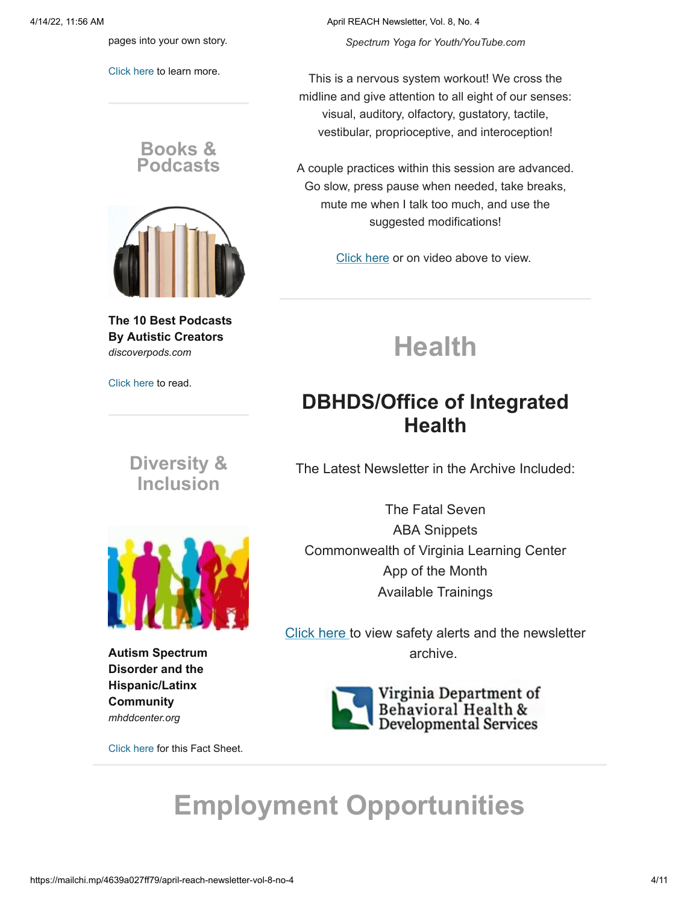pages into your own story.

[Click here](https://apps.apple.com/us/app/i-create-social-skills-stories/id513666306) to learn more.

**Books & Podcasts**



**The 10 Best Podcasts By Autistic Creators** *discoverpods.com*

[Click here](https://discoverpods.com/austistic-creator-podcasts/) to read.

**Diversity & Inclusion**



**Autism Spectrum Disorder and the Hispanic/Latinx Community** *mhddcenter.org*

[Click here](https://mcusercontent.com/898af1729382f137e646c6110/files/b65d43b8-5b3f-89cc-3819-251df6e0e175/Autism_Spectrum_Disorder_and_the_Hispanic_Latinx_Community.pdf) for this Fact Sheet.

4/14/22, 11:56 AM April REACH Newsletter, Vol. 8, No. 4

*Spectrum Yoga for Youth/YouTube.com*

This is a nervous system workout! We cross the midline and give attention to all eight of our senses: visual, auditory, olfactory, gustatory, tactile, vestibular, proprioceptive, and interoception!

A couple practices within this session are advanced. Go slow, press pause when needed, take breaks, mute me when I talk too much, and use the suggested modifications!

[Click here](https://youtu.be/EimWlmtHxD8) or on video above to view.

# **Health**

## **DBHDS/Office of Integrated Health**

The Latest Newsletter in the Archive Included:

The Fatal Seven ABA Snippets Commonwealth of Virginia Learning Center App of the Month Available Trainings

[Click here](https://dbhds.virginia.gov/office-of-integrated-health/) to view safety alerts and the newsletter archive.



# **Employment Opportunities**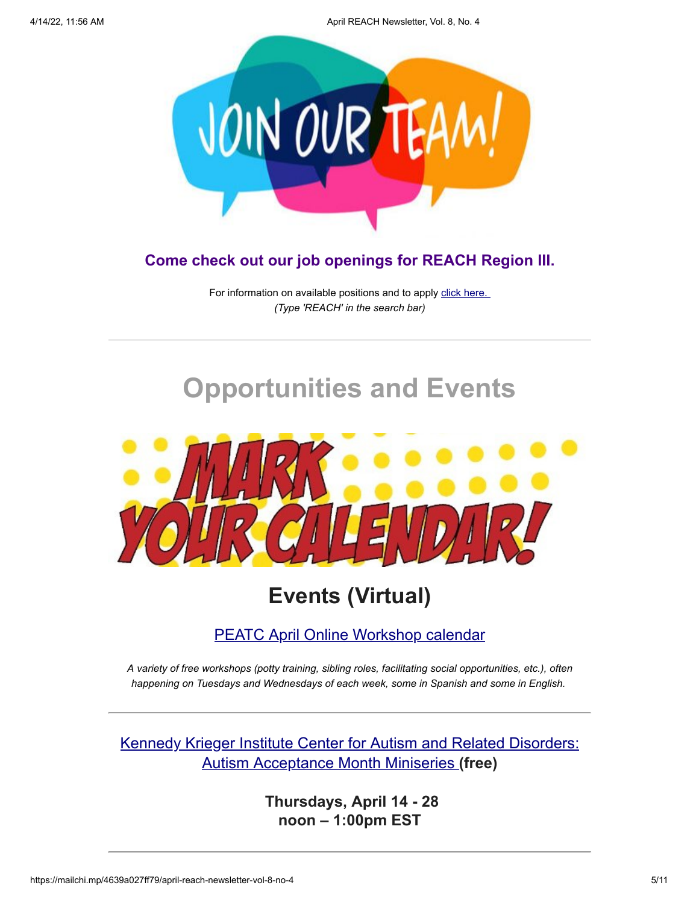4/14/22, 11:56 AM April REACH Newsletter, Vol. 8, No. 4



### **Come check out our job openings for REACH Region III.**

For information on available positions and to apply [click here.](https://careers-nrvcs.icims.com/jobs/intro) *(Type 'REACH' in the search bar)*

# **Opportunities and Events**



## **Events (Virtual)**

### [PEATC April Online Workshop calendar](https://science.us13.list-manage.com/track/click?u=3fb570409a3d1c06ead458c03&id=639a9b1012&e=830a97bf28)

*A variety of free workshops (potty training, sibling roles, facilitating social opportunities, etc.), often happening on Tuesdays and Wednesdays of each week, some in Spanish and some in English.*

[Kennedy Krieger Institute Center for Autism and Related Disorders:](https://science.us13.list-manage.com/track/click?u=3fb570409a3d1c06ead458c03&id=07aa3097d3&e=830a97bf28) Autism Acceptance Month Miniseries **(free)**

> **Thursdays, April 14 - 28 noon – 1:00pm EST**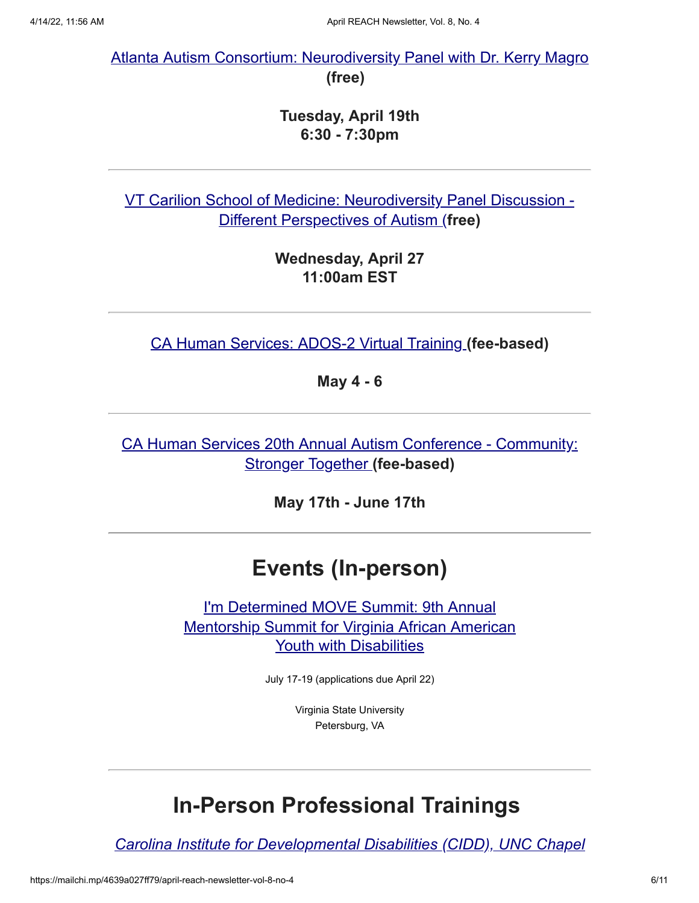[Atlanta Autism Consortium: Neurodiversity Panel with Dr. Kerry Magro](https://science.us13.list-manage.com/track/click?u=3fb570409a3d1c06ead458c03&id=a846ab8bc9&e=830a97bf28) **(free)** 

### **Tuesday, April 19th 6:30 - 7:30pm**

[VT Carilion Sc](https://science.us13.list-manage.com/track/click?u=3fb570409a3d1c06ead458c03&id=92d0491c5a&e=830a97bf28)[hool of Medicine: Neurodiversity Panel Discussion -](https://science.us13.list-manage.com/track/click?u=3fb570409a3d1c06ead458c03&id=faee4c16f9&e=830a97bf28) Different Perspectives of Autism [\(](https://science.us13.list-manage.com/track/click?u=3fb570409a3d1c06ead458c03&id=cd72130f9b&e=830a97bf28)**free)**

> **Wednesday, April 27 11:00am EST**

[CA Human Services: ADOS-2 Virtual Training](https://science.us13.list-manage.com/track/click?u=3fb570409a3d1c06ead458c03&id=d7662fc914&e=830a97bf28) **(fee-based)**

**May 4 - 6**

[CA Human Services 20th Annual Autism Conference - Community:](https://science.us13.list-manage.com/track/click?u=3fb570409a3d1c06ead458c03&id=088360f64e&e=830a97bf28) Stronger Together **(fee-based)**

**May 17th - June 17th**

## **Events (In-person)**

I'm Determined MOVE Summit: 9th Annual [Mentorship Summit for Virginia African American](https://science.us13.list-manage.com/track/click?u=3fb570409a3d1c06ead458c03&id=fee83db388&e=830a97bf28) Youth with Disabilities

July 17-19 (applications due April 22)

Virginia State University Petersburg, VA

## **In-Person Professional Trainings**

*[Carolina Institute for Developmental Disabilities \(CIDD\), UNC Chapel](https://science.us13.list-manage.com/track/click?u=3fb570409a3d1c06ead458c03&id=5106b95da5&e=830a97bf28)*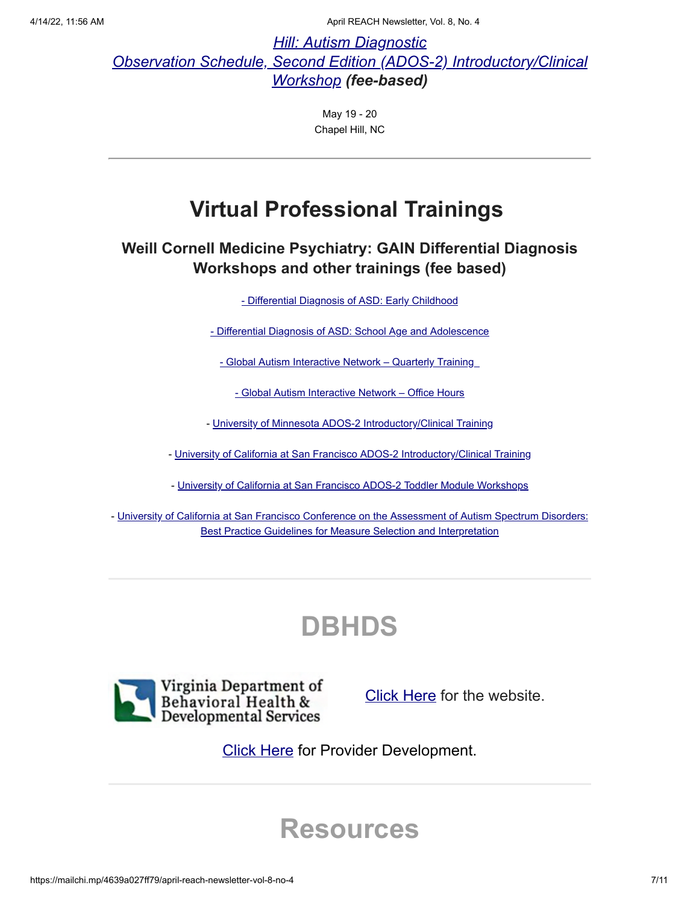4/14/22, 11:56 AM April REACH Newsletter, Vol. 8, No. 4

*Hill: Autism Diagnostic [Observation Schedule, Second Edition \(ADOS-2\) Introductory/Clinical](https://science.us13.list-manage.com/track/click?u=3fb570409a3d1c06ead458c03&id=5106b95da5&e=830a97bf28) Workshop (fee-based)*

> May 19 - 20 Chapel Hill, NC

## **Virtual Professional Trainings**

### **Weill Cornell Medicine Psychiatry: GAIN Differential Diagnosis Workshops and other trainings (fee based)**

[- Differential Diagnosis of ASD: Early Childhood](https://science.us13.list-manage.com/track/click?u=3fb570409a3d1c06ead458c03&id=ecaea8bf07&e=830a97bf28)

[- Differential Diagnosis of ASD: School Age and Adolescence](https://science.us13.list-manage.com/track/click?u=3fb570409a3d1c06ead458c03&id=e0336b41f4&e=830a97bf28)

- Global Autism Interactive Network - Quarterly Training

[- Global Autism Interactive Network – Office Hours](https://science.us13.list-manage.com/track/click?u=3fb570409a3d1c06ead458c03&id=b8d01e6aea&e=830a97bf28)

- [University of Minnesota ADOS-2 Introductory/Clinical Training](https://science.us13.list-manage.com/track/click?u=3fb570409a3d1c06ead458c03&id=494a28d20e&e=830a97bf28)

- [University of California at San Francisco ADOS-2 Introductory/Clinical Training](https://science.us13.list-manage.com/track/click?u=3fb570409a3d1c06ead458c03&id=6b554dd7ff&e=830a97bf28)

- [University of California at San Francisco](https://science.us13.list-manage.com/track/click?u=3fb570409a3d1c06ead458c03&id=690743e61c&e=830a97bf28) [ADOS-2 Toddler Module Workshops](https://science.us13.list-manage.com/track/click?u=3fb570409a3d1c06ead458c03&id=b56000b7fd&e=830a97bf28)

- [University of California at San Francisco](https://science.us13.list-manage.com/track/click?u=3fb570409a3d1c06ead458c03&id=7440aad101&e=830a97bf28) [Conference on the Assessment of Autism Spectrum Disorders:](https://science.us13.list-manage.com/track/click?u=3fb570409a3d1c06ead458c03&id=9284f73f9b&e=830a97bf28) Best Practice Guidelines for Measure Selection and Interpretation

# **DBHDS**



[Click Here](http://www.dbhds.virginia.gov/) for the website.

**[Click Here](http://www.dbhds.virginia.gov/developmental-services/provider-development) for Provider Development.** 

## **Resources**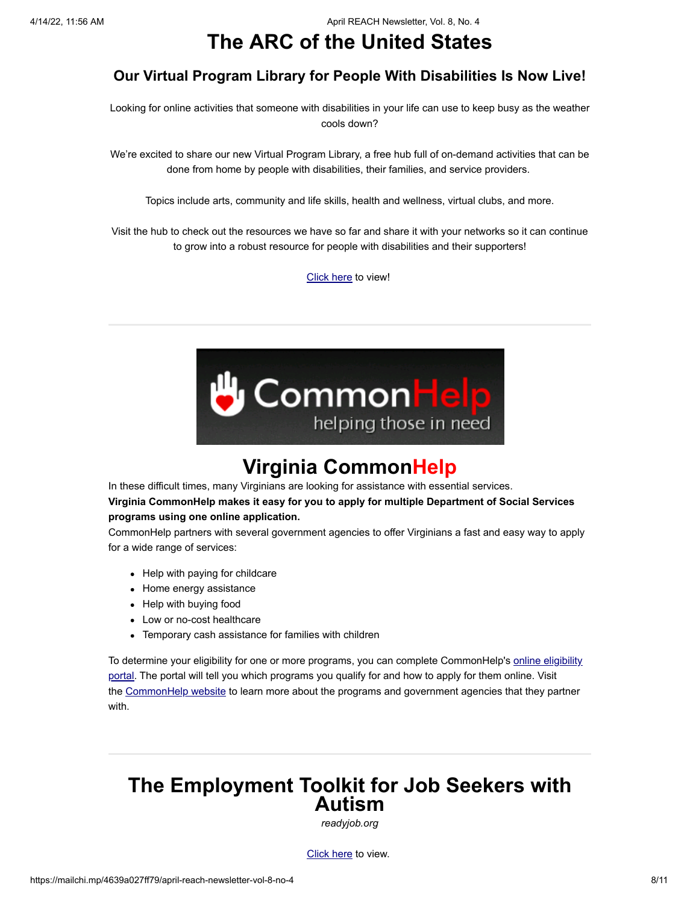## **The ARC of the United States**

### **Our Virtual Program Library for People With Disabilities Is Now Live!**

Looking for online activities that someone with disabilities in your life can use to keep busy as the weather cools down?

We're excited to share our new Virtual Program Library, a free hub full of on-demand activities that can be done from home by people with disabilities, their families, and service providers.

Topics include arts, community and life skills, health and wellness, virtual clubs, and more.

Visit the hub to check out the resources we have so far and share it with your networks so it can continue to grow into a robust resource for people with disabilities and their supporters!

[Click here](https://programlibrary.thearc.org/browse?utm_source=cc&utm_medium=email&utm_campaign=cfp) to view!



## **Virginia CommonHelp**

In these difficult times, many Virginians are looking for assistance with essential services. **Virginia CommonHelp makes it easy for you to apply for multiple Department of Social Services programs using one online application.**

CommonHelp partners with several government agencies to offer Virginians a fast and easy way to apply for a wide range of services:

- Help with paying for childcare
- Home energy assistance
- Help with buying food
- Low or no-cost healthcare
- Temporary cash assistance for families with children

[To determine your eligibility for one or more programs, you can complete CommonHelp's online eligibility](https://commonhelp.virginia.gov/access/accessController?id=0.6467284203779499&utm_campaign=covid19resources&utm_content=commonhelp&utm_medium=email&utm_source=govdelivery) port[al.](https://lnks.gd/l/eyJhbGciOiJIUzI1NiJ9.eyJidWxsZXRpbl9saW5rX2lkIjoxMDcsInVyaSI6ImJwMjpjbGljayIsImJ1bGxldGluX2lkIjoiMjAyMDA3MDguMjQwNjk5NTEiLCJ1cmwiOiJodHRwczovL2NvbW1vbmhlbHAudmlyZ2luaWEuZ292L2FjY2Vzcy9hY2Nlc3NDb250cm9sbGVyP2lkPTAuNjQ2NzI4NDIwMzc3OTQ5OSZ1dG1fY2FtcGFpZ249Y292aWQxOXJlc291cmNlcyZ1dG1fY29udGVudD1jb21tb25oZWxwJnV0bV9tZWRpdW09ZW1haWwmdXRtX3NvdXJjZT1nb3ZkZWxpdmVyeSJ9.riZclMucviED6uCtz24zJKH5HYTfxm8k1PasQt13PZ4/s/921886101/br/80790766155-l) The portal will tell you which programs you qualify for and how to apply for them online. Visit the [CommonHelp website](https://commonhelp.virginia.gov/?utm_campaign=covid19resources&utm_content=commonhelp&utm_medium=email&utm_source=govdelivery) to learn more about the programs and government agencies that they partner with.

### **The Employment Toolkit for Job Seekers with Autism**

*readyjob.org*

[Click here](https://mcusercontent.com/898af1729382f137e646c6110/files/e32f35f4-ca0e-4872-8a62-475138fff2b8/Find_Your_Dream_Job_Toolkit.pdf) to view.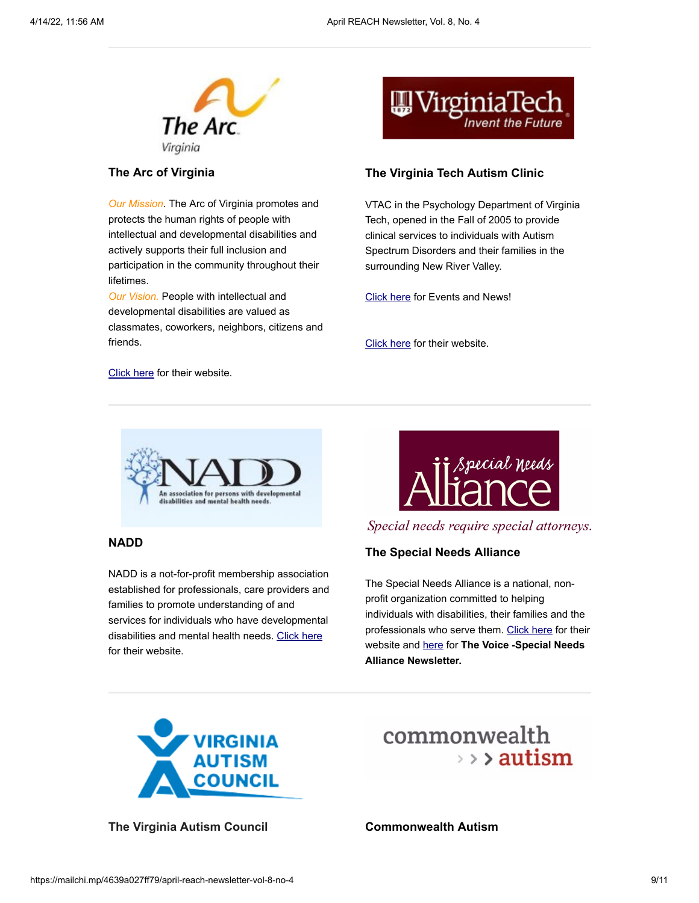

#### **The Arc of Virginia**

*Our Mission*. The Arc of Virginia promotes and protects the human rights of people with intellectual and developmental disabilities and actively supports their full inclusion and participation in the community throughout their lifetimes.

*Our Vision.* People with intellectual and developmental disabilities are valued as classmates, coworkers, neighbors, citizens and friends.



#### **The Virginia Tech Autism Clinic**

VTAC in the Psychology Department of Virginia Tech, opened in the Fall of 2005 to provide clinical services to individuals with Autism Spectrum Disorders and their families in the surrounding New River Valley.

[Click here](https://www.vtcar.science.vt.edu/events.html) for Events and News!

[Click here](https://www.vtcar.science.vt.edu/) for their website.

[Click here](http://www.thearcofva.org/) for their website.



#### **NADD**

NADD is a not-for-profit membership association established for professionals, care providers and families to promote understanding of and services for individuals who have developmental disabilities and mental health needs. [Click here](http://thenadd.org/about-nadd/) for their website.



Special needs require special attorneys.

#### **The Special Needs Alliance**

The Special Needs Alliance is a national, nonprofit organization committed to helping individuals with disabilities, their families and the professionals who serve them. [Click here](http://www.specialneedsalliance.org/) for their website and [here](https://www.specialneedsalliance.org/the-voice/) for **The Voice -Special Needs Alliance Newsletter.**



**The Virginia Autism Council Commonwealth Autism**

## commonwealth  $\rightarrow$  >  $>$  autism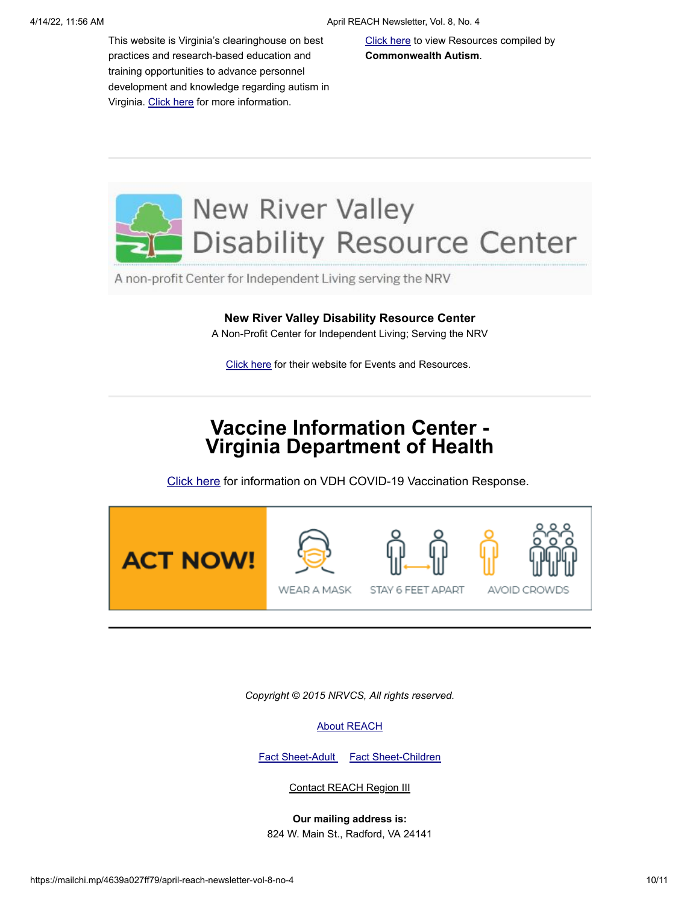This website is Virginia's clearinghouse on best practices and research-based education and training opportunities to advance personnel development and knowledge regarding autism in Virginia. [Click here](http://www.autismtrainingva.vcu.edu/) for more information.

[Click here](https://cahumanservices.org/establishing-change/information-resource-assistance/) to view Resources compiled by **Commonwealth Autism**.

# **New River Valley Disability Resource Center**

A non-profit Center for Independent Living serving the NRV

#### **New River Valley Disability Resource Center**

A Non-Profit Center for Independent Living; Serving the NRV

[Click here](https://nrvdrc.org/) for their website for Events and Resources.

### **Vaccine Information Center - Virginia Department of Health**

[Click here](https://www.vdh.virginia.gov/covid-19-vaccine/) for information on VDH COVID-19 Vaccination Response.



*Copyright © 2015 NRVCS, All rights reserved.*

#### [About REACH](https://gallery.mailchimp.com/898af1729382f137e646c6110/files/About_REACH.pdf)

[Fact Sheet-Adult](https://gallery.mailchimp.com/898af1729382f137e646c6110/files/Fact_Sheet_Adult_Crisis_Services.pdf) [Fact Sheet-Children](https://gallery.mailchimp.com/898af1729382f137e646c6110/files/Fact_Sheet_Children_s_Crisis_Services.pdf)

Contact REACH Region III

**Our mailing address is:** 824 W. Main St., Radford, VA 24141